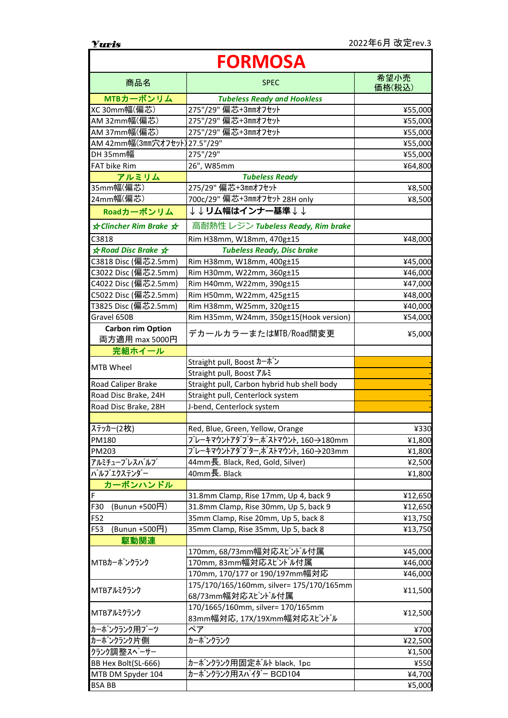| <b>FORMOSA</b>                |                                                               |                |
|-------------------------------|---------------------------------------------------------------|----------------|
| 商品名                           | <b>SPEC</b>                                                   | 希望小売<br>価格(税込) |
| MTBカーボンリム                     | <b>Tubeless Ready and Hookless</b>                            |                |
| XC 30mm幅(偏芯)                  | 275"/29" 偏芯+3mmオフセット                                          | ¥55,000        |
| AM 32mm幅(偏芯)                  | 275"/29" 偏芯+3mmオフセット                                          | ¥55,000        |
| AM 37mm幅(偏芯)                  | 275"/29" 偏芯+3mmオフセット                                          | ¥55,000        |
| AM 42mm幅(3mm穴オフセット) 27.5"/29" |                                                               | ¥55,000        |
| DH 35mm幅                      | 275"/29"                                                      | ¥55,000        |
| FAT bike Rim                  | 26", W85mm                                                    | ¥64,800        |
| アルミリム                         | <b>Tubeless Ready</b>                                         |                |
| 35mm幅(偏芯)                     | 275/29" 偏芯+3mmオフセット                                           | ¥8,500         |
| 24mm幅(偏芯)                     | 700c/29" 偏芯+3mmオフセット 28H only                                 | ¥8,500         |
| Roadカーボンリム                    | ↓↓リム幅はインナ一基準↓↓                                                |                |
| <b>★ Clincher Rim Brake ★</b> | 高耐熱性 レジン Tubeless Ready, Rim brake                            |                |
| C3818                         | Rim H38mm, W18mm, 470g±15                                     | ¥48,000        |
| <b>★ Road Disc Brake ★</b>    | <b>Tubeless Ready, Disc brake</b>                             |                |
| C3818 Disc (偏芯2.5mm)          | Rim H38mm, W18mm, 400g±15                                     | ¥45,000        |
| C3022 Disc (偏芯2.5mm)          | Rim H30mm, W22mm, 360g±15                                     | ¥46,000        |
| C4022 Disc (偏芯2.5mm)          | Rim H40mm, W22mm, 390g±15                                     | ¥47,000        |
| C5022 Disc (偏芯2.5mm)          | Rim H50mm, W22mm, 425g±15                                     | ¥48,000        |
| T3825 Disc (偏芯2.5mm)          | Rim H38mm, W25mm, 320g±15                                     | ¥40,000        |
| Gravel 650B                   | Rim H35mm, W24mm, 350g±15(Hook version)                       | ¥54,000        |
| <b>Carbon rim Option</b>      | デカールカラーまたはMTB/Road間変更                                         | ¥5,000         |
| 両方適用 max 5000円                |                                                               |                |
| 完組ホイール                        |                                                               |                |
| MTB Wheel                     | Straight pull, Boost カーボン                                     |                |
|                               | Straight pull, Boost アルミ                                      |                |
| Road Caliper Brake            | Straight pull, Carbon hybrid hub shell body                   |                |
| Road Disc Brake, 24H          | Straight pull, Centerlock system                              |                |
| Road Disc Brake, 28H          | J-bend, Centerlock system                                     |                |
|                               |                                                               |                |
| ステッカー(2枚)                     | Red, Blue, Green, Yellow, Orange                              | ¥330           |
| <b>PM180</b>                  | ブレーキマウントアダ <sup>゙</sup> プター,ポストマウント, 160→180mm                | ¥1,800         |
| PM203                         | ブレーキマウントアダプター,ポストマウント, 160→203mm                              | ¥1,800         |
| アルミチューブレスバルブ                  | 44mm長, Black, Red, Gold, Silver)                              | ¥2,500         |
| バルブエクステンダー                    | 40mm長, Black                                                  | ¥1,800         |
| カーボンハンドル                      |                                                               |                |
| F                             | 31.8mm Clamp, Rise 17mm, Up 4, back 9                         | ¥12,650        |
| F30<br>(Bunun +500円)          | 31.8mm Clamp, Rise 30mm, Up 5, back 9                         | ¥12,650        |
| F52                           | 35mm Clamp, Rise 20mm, Up 5, back 8                           | ¥13,750        |
| F53<br>(Bunun +500円)          | 35mm Clamp, Rise 35mm, Up 5, back 8                           | ¥13,750        |
| 駆動関連                          |                                                               |                |
| MTBカーボンクランク                   | 170mm, 68/73mm幅対応スピンドル付属                                      | ¥45,000        |
|                               | 170mm, 83mm幅対応スピンドル付属                                         | ¥46,000        |
|                               | 170mm, 170/177 or 190/197mm幅対応                                | ¥46,000        |
| MTBアルミクランク                    | 175/170/165/160mm, silver= 175/170/165mm<br>68/73mm幅対応スピンドル付属 | ¥11,500        |
|                               | 170/1665/160mm, silver= 170/165mm                             |                |
| MTBアルミクランク                    | 83mm幅対応, 17X/19Xmm幅対応スピンドル                                    | ¥12,500        |
| カーボンクランク用ブーツ                  | ペア                                                            | ¥700           |
| カーボンクランク片側                    | カーボンクランク                                                      | ¥22,500        |
| クランク調整スペーサー                   |                                                               | ¥1,500         |
| BB Hex Bolt(SL-666)           | カーボンクランク用固定ボルト black, 1pc                                     | ¥550           |
| MTB DM Spyder 104             | カーボンクランク用スパイダー BCD104                                         | ¥4,700         |
| <b>BSA BB</b>                 |                                                               | ¥5,000         |